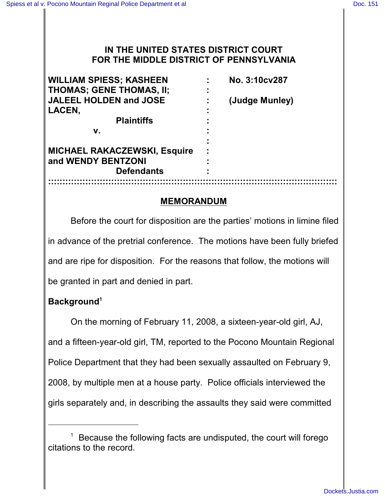# **IN THE UNITED STATES DISTRICT COURT FOR THE MIDDLE DISTRICT OF PENNSYLVANIA**

| <b>WILLIAM SPIESS; KASHEEN</b>      | No. 3:10cv287  |
|-------------------------------------|----------------|
| <b>THOMAS; GENE THOMAS, II;</b>     |                |
| <b>JALEEL HOLDEN and JOSE</b>       | (Judge Munley) |
| LACEN,                              |                |
| <b>Plaintiffs</b>                   |                |
| v.                                  |                |
|                                     |                |
| <b>MICHAEL RAKACZEWSKI, Esquire</b> |                |
| and WENDY BENTZONI                  |                |
| <b>Defendants</b>                   |                |
|                                     |                |

## **MEMORANDUM**

Before the court for disposition are the parties' motions in limine filed in advance of the pretrial conference. The motions have been fully briefed and are ripe for disposition. For the reasons that follow, the motions will be granted in part and denied in part.

# **Background<sup>1</sup>**

On the morning of February 11, 2008, a sixteen-year-old girl, AJ, and a fifteen-year-old girl, TM, reported to the Pocono Mountain Regional Police Department that they had been sexually assaulted on February 9, 2008, by multiple men at a house party. Police officials interviewed the girls separately and, in describing the assaults they said were committed

Because the following facts are undisputed, the court will forego 1 citations to the record.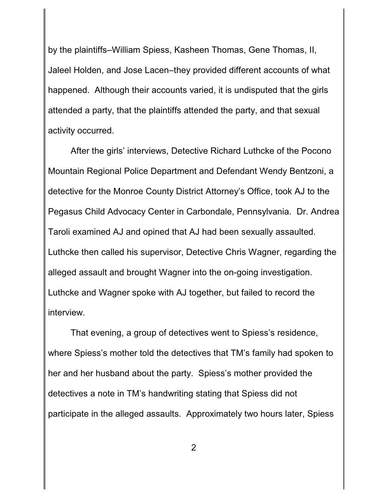by the plaintiffs–William Spiess, Kasheen Thomas, Gene Thomas, II, Jaleel Holden, and Jose Lacen–they provided different accounts of what happened. Although their accounts varied, it is undisputed that the girls attended a party, that the plaintiffs attended the party, and that sexual activity occurred.

After the girls' interviews, Detective Richard Luthcke of the Pocono Mountain Regional Police Department and Defendant Wendy Bentzoni, a detective for the Monroe County District Attorney's Office, took AJ to the Pegasus Child Advocacy Center in Carbondale, Pennsylvania. Dr. Andrea Taroli examined AJ and opined that AJ had been sexually assaulted. Luthcke then called his supervisor, Detective Chris Wagner, regarding the alleged assault and brought Wagner into the on-going investigation. Luthcke and Wagner spoke with AJ together, but failed to record the interview.

That evening, a group of detectives went to Spiess's residence, where Spiess's mother told the detectives that TM's family had spoken to her and her husband about the party. Spiess's mother provided the detectives a note in TM's handwriting stating that Spiess did not participate in the alleged assaults. Approximately two hours later, Spiess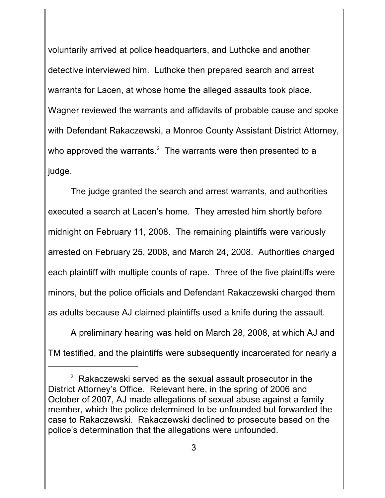voluntarily arrived at police headquarters, and Luthcke and another detective interviewed him. Luthcke then prepared search and arrest warrants for Lacen, at whose home the alleged assaults took place. Wagner reviewed the warrants and affidavits of probable cause and spoke with Defendant Rakaczewski, a Monroe County Assistant District Attorney, who approved the warrants. $2$  The warrants were then presented to a judge.

The judge granted the search and arrest warrants, and authorities executed a search at Lacen's home. They arrested him shortly before midnight on February 11, 2008. The remaining plaintiffs were variously arrested on February 25, 2008, and March 24, 2008. Authorities charged each plaintiff with multiple counts of rape. Three of the five plaintiffs were minors, but the police officials and Defendant Rakaczewski charged them as adults because AJ claimed plaintiffs used a knife during the assault.

A preliminary hearing was held on March 28, 2008, at which AJ and TM testified, and the plaintiffs were subsequently incarcerated for nearly a

 $2$  Rakaczewski served as the sexual assault prosecutor in the District Attorney's Office. Relevant here, in the spring of 2006 and October of 2007, AJ made allegations of sexual abuse against a family member, which the police determined to be unfounded but forwarded the case to Rakaczewski. Rakaczewski declined to prosecute based on the police's determination that the allegations were unfounded.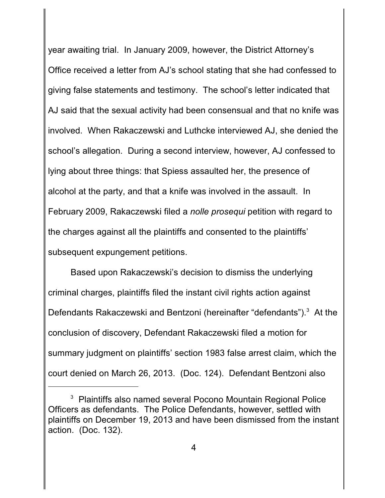year awaiting trial. In January 2009, however, the District Attorney's Office received a letter from AJ's school stating that she had confessed to giving false statements and testimony. The school's letter indicated that AJ said that the sexual activity had been consensual and that no knife was involved. When Rakaczewski and Luthcke interviewed AJ, she denied the school's allegation. During a second interview, however, AJ confessed to lying about three things: that Spiess assaulted her, the presence of alcohol at the party, and that a knife was involved in the assault. In February 2009, Rakaczewski filed a *nolle prosequi* petition with regard to the charges against all the plaintiffs and consented to the plaintiffs' subsequent expungement petitions.

Based upon Rakaczewski's decision to dismiss the underlying criminal charges, plaintiffs filed the instant civil rights action against Defendants Rakaczewski and Bentzoni (hereinafter "defendants").<sup>3</sup> At the conclusion of discovery, Defendant Rakaczewski filed a motion for summary judgment on plaintiffs' section 1983 false arrest claim, which the court denied on March 26, 2013. (Doc. 124). Defendant Bentzoni also

 $3$  Plaintiffs also named several Pocono Mountain Regional Police Officers as defendants. The Police Defendants, however, settled with plaintiffs on December 19, 2013 and have been dismissed from the instant action. (Doc. 132).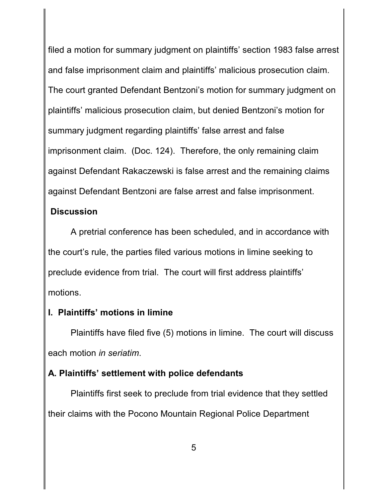filed a motion for summary judgment on plaintiffs' section 1983 false arrest and false imprisonment claim and plaintiffs' malicious prosecution claim. The court granted Defendant Bentzoni's motion for summary judgment on plaintiffs' malicious prosecution claim, but denied Bentzoni's motion for summary judgment regarding plaintiffs' false arrest and false imprisonment claim. (Doc. 124). Therefore, the only remaining claim against Defendant Rakaczewski is false arrest and the remaining claims against Defendant Bentzoni are false arrest and false imprisonment.

# **Discussion**

A pretrial conference has been scheduled, and in accordance with the court's rule, the parties filed various motions in limine seeking to preclude evidence from trial. The court will first address plaintiffs' motions.

# **I. Plaintiffs' motions in limine**

Plaintiffs have filed five (5) motions in limine. The court will discuss each motion *in seriatim*.

# **A. Plaintiffs' settlement with police defendants**

Plaintiffs first seek to preclude from trial evidence that they settled their claims with the Pocono Mountain Regional Police Department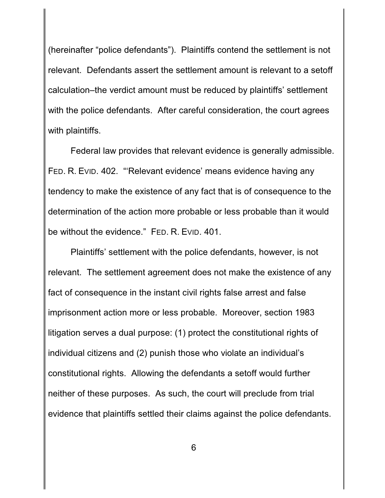(hereinafter "police defendants"). Plaintiffs contend the settlement is not relevant. Defendants assert the settlement amount is relevant to a setoff calculation–the verdict amount must be reduced by plaintiffs' settlement with the police defendants. After careful consideration, the court agrees with plaintiffs.

Federal law provides that relevant evidence is generally admissible. FED. R. EVID. 402. "'Relevant evidence' means evidence having any tendency to make the existence of any fact that is of consequence to the determination of the action more probable or less probable than it would be without the evidence." FED. R. EVID. 401.

Plaintiffs' settlement with the police defendants, however, is not relevant. The settlement agreement does not make the existence of any fact of consequence in the instant civil rights false arrest and false imprisonment action more or less probable. Moreover, section 1983 litigation serves a dual purpose: (1) protect the constitutional rights of individual citizens and (2) punish those who violate an individual's constitutional rights. Allowing the defendants a setoff would further neither of these purposes. As such, the court will preclude from trial evidence that plaintiffs settled their claims against the police defendants.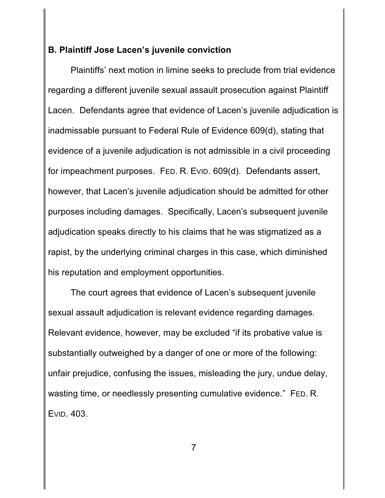# **B. Plaintiff Jose Lacen's juvenile conviction**

Plaintiffs' next motion in limine seeks to preclude from trial evidence regarding a different juvenile sexual assault prosecution against Plaintiff Lacen. Defendants agree that evidence of Lacen's juvenile adjudication is inadmissable pursuant to Federal Rule of Evidence 609(d), stating that evidence of a juvenile adjudication is not admissible in a civil proceeding for impeachment purposes. FED. R. EVID. 609(d). Defendants assert, however, that Lacen's juvenile adjudication should be admitted for other purposes including damages. Specifically, Lacen's subsequent juvenile adjudication speaks directly to his claims that he was stigmatized as a rapist, by the underlying criminal charges in this case, which diminished his reputation and employment opportunities.

The court agrees that evidence of Lacen's subsequent juvenile sexual assault adjudication is relevant evidence regarding damages. Relevant evidence, however, may be excluded "if its probative value is substantially outweighed by a danger of one or more of the following: unfair prejudice, confusing the issues, misleading the jury, undue delay, wasting time, or needlessly presenting cumulative evidence." FED. R. EVID. 403.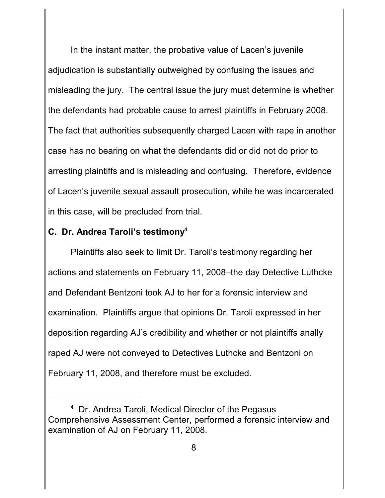In the instant matter, the probative value of Lacen's juvenile adjudication is substantially outweighed by confusing the issues and misleading the jury. The central issue the jury must determine is whether the defendants had probable cause to arrest plaintiffs in February 2008. The fact that authorities subsequently charged Lacen with rape in another case has no bearing on what the defendants did or did not do prior to arresting plaintiffs and is misleading and confusing. Therefore, evidence of Lacen's juvenile sexual assault prosecution, while he was incarcerated in this case, will be precluded from trial.

# **C. Dr. Andrea Taroli's testimony<sup>4</sup>**

Plaintiffs also seek to limit Dr. Taroli's testimony regarding her actions and statements on February 11, 2008–the day Detective Luthcke and Defendant Bentzoni took AJ to her for a forensic interview and examination. Plaintiffs argue that opinions Dr. Taroli expressed in her deposition regarding AJ's credibility and whether or not plaintiffs anally raped AJ were not conveyed to Detectives Luthcke and Bentzoni on February 11, 2008, and therefore must be excluded.

Dr. Andrea Taroli, Medical Director of the Pegasus 4 Comprehensive Assessment Center, performed a forensic interview and examination of AJ on February 11, 2008.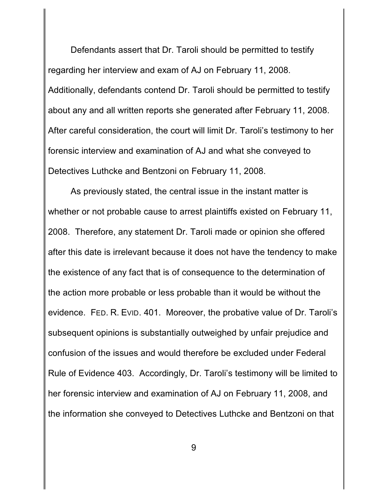Defendants assert that Dr. Taroli should be permitted to testify regarding her interview and exam of AJ on February 11, 2008. Additionally, defendants contend Dr. Taroli should be permitted to testify about any and all written reports she generated after February 11, 2008. After careful consideration, the court will limit Dr. Taroli's testimony to her forensic interview and examination of AJ and what she conveyed to Detectives Luthcke and Bentzoni on February 11, 2008.

As previously stated, the central issue in the instant matter is whether or not probable cause to arrest plaintiffs existed on February 11, 2008. Therefore, any statement Dr. Taroli made or opinion she offered after this date is irrelevant because it does not have the tendency to make the existence of any fact that is of consequence to the determination of the action more probable or less probable than it would be without the evidence. FED. R. EVID. 401. Moreover, the probative value of Dr. Taroli's subsequent opinions is substantially outweighed by unfair prejudice and confusion of the issues and would therefore be excluded under Federal Rule of Evidence 403. Accordingly, Dr. Taroli's testimony will be limited to her forensic interview and examination of AJ on February 11, 2008, and the information she conveyed to Detectives Luthcke and Bentzoni on that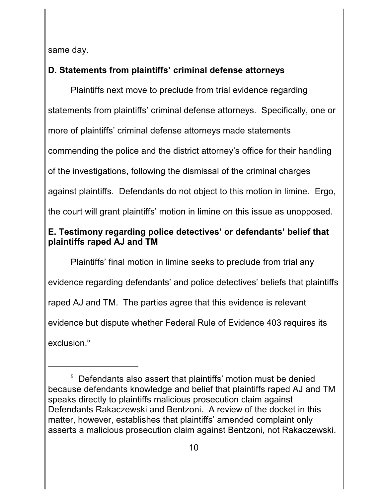same day.

# **D. Statements from plaintiffs' criminal defense attorneys**

Plaintiffs next move to preclude from trial evidence regarding statements from plaintiffs' criminal defense attorneys. Specifically, one or more of plaintiffs' criminal defense attorneys made statements commending the police and the district attorney's office for their handling of the investigations, following the dismissal of the criminal charges against plaintiffs. Defendants do not object to this motion in limine. Ergo, the court will grant plaintiffs' motion in limine on this issue as unopposed.

# **E. Testimony regarding police detectives' or defendants' belief that plaintiffs raped AJ and TM**

Plaintiffs' final motion in limine seeks to preclude from trial any evidence regarding defendants' and police detectives' beliefs that plaintiffs raped AJ and TM. The parties agree that this evidence is relevant evidence but dispute whether Federal Rule of Evidence 403 requires its exclusion.<sup>5</sup>

<sup>&</sup>lt;sup>5</sup> Defendants also assert that plaintiffs' motion must be denied because defendants knowledge and belief that plaintiffs raped AJ and TM speaks directly to plaintiffs malicious prosecution claim against Defendants Rakaczewski and Bentzoni. A review of the docket in this matter, however, establishes that plaintiffs' amended complaint only asserts a malicious prosecution claim against Bentzoni, not Rakaczewski.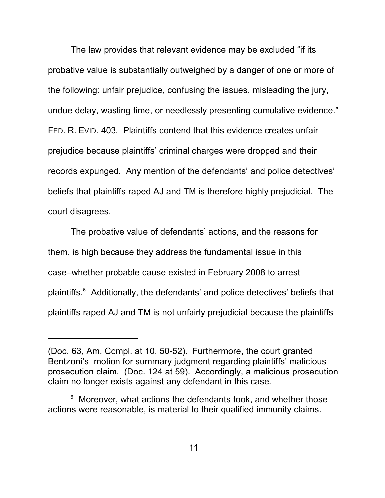The law provides that relevant evidence may be excluded "if its probative value is substantially outweighed by a danger of one or more of the following: unfair prejudice, confusing the issues, misleading the jury, undue delay, wasting time, or needlessly presenting cumulative evidence." FED. R. EVID. 403. Plaintiffs contend that this evidence creates unfair prejudice because plaintiffs' criminal charges were dropped and their records expunged. Any mention of the defendants' and police detectives' beliefs that plaintiffs raped AJ and TM is therefore highly prejudicial. The court disagrees.

The probative value of defendants' actions, and the reasons for them, is high because they address the fundamental issue in this case–whether probable cause existed in February 2008 to arrest plaintiffs.<sup>6</sup> Additionally, the defendants' and police detectives' beliefs that plaintiffs raped AJ and TM is not unfairly prejudicial because the plaintiffs

<sup>(</sup>Doc. 63, Am. Compl. at 10, 50-52). Furthermore, the court granted Bentzoni's motion for summary judgment regarding plaintiffs' malicious prosecution claim. (Doc. 124 at 59). Accordingly, a malicious prosecution claim no longer exists against any defendant in this case.

 $6$  Moreover, what actions the defendants took, and whether those actions were reasonable, is material to their qualified immunity claims.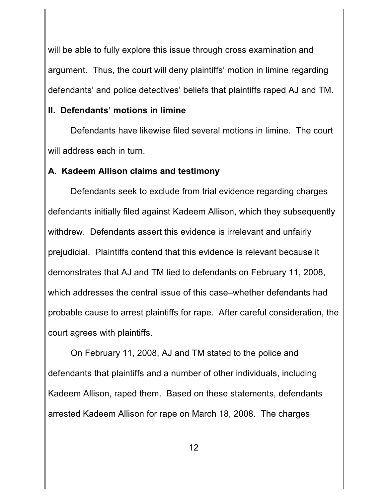will be able to fully explore this issue through cross examination and argument. Thus, the court will deny plaintiffs' motion in limine regarding defendants' and police detectives' beliefs that plaintiffs raped AJ and TM.

# **II. Defendants' motions in limine**

Defendants have likewise filed several motions in limine. The court will address each in turn.

# **A. Kadeem Allison claims and testimony**

Defendants seek to exclude from trial evidence regarding charges defendants initially filed against Kadeem Allison, which they subsequently withdrew. Defendants assert this evidence is irrelevant and unfairly prejudicial. Plaintiffs contend that this evidence is relevant because it demonstrates that AJ and TM lied to defendants on February 11, 2008, which addresses the central issue of this case–whether defendants had probable cause to arrest plaintiffs for rape. After careful consideration, the court agrees with plaintiffs.

On February 11, 2008, AJ and TM stated to the police and defendants that plaintiffs and a number of other individuals, including Kadeem Allison, raped them. Based on these statements, defendants arrested Kadeem Allison for rape on March 18, 2008. The charges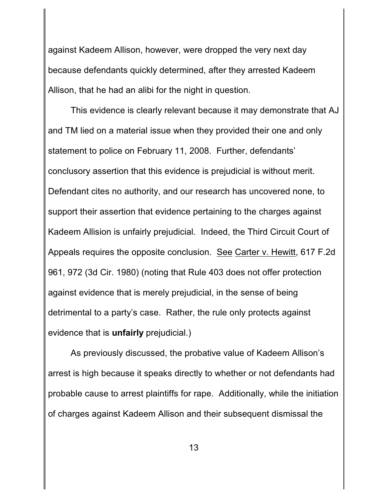against Kadeem Allison, however, were dropped the very next day because defendants quickly determined, after they arrested Kadeem Allison, that he had an alibi for the night in question.

This evidence is clearly relevant because it may demonstrate that AJ and TM lied on a material issue when they provided their one and only statement to police on February 11, 2008. Further, defendants' conclusory assertion that this evidence is prejudicial is without merit. Defendant cites no authority, and our research has uncovered none, to support their assertion that evidence pertaining to the charges against Kadeem Allision is unfairly prejudicial. Indeed, the Third Circuit Court of Appeals requires the opposite conclusion. See Carter v. Hewitt, 617 F.2d 961, 972 (3d Cir. 1980) (noting that Rule 403 does not offer protection against evidence that is merely prejudicial, in the sense of being detrimental to a party's case. Rather, the rule only protects against evidence that is **unfairly** prejudicial.)

As previously discussed, the probative value of Kadeem Allison's arrest is high because it speaks directly to whether or not defendants had probable cause to arrest plaintiffs for rape. Additionally, while the initiation of charges against Kadeem Allison and their subsequent dismissal the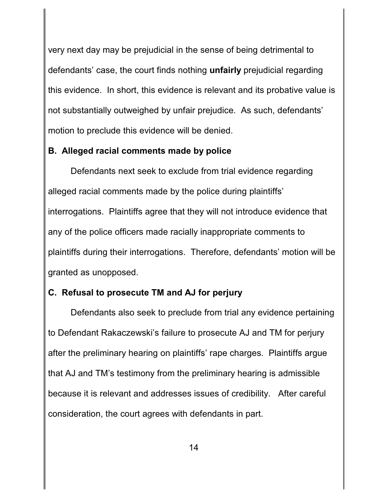very next day may be prejudicial in the sense of being detrimental to defendants' case, the court finds nothing **unfairly** prejudicial regarding this evidence. In short, this evidence is relevant and its probative value is not substantially outweighed by unfair prejudice. As such, defendants' motion to preclude this evidence will be denied.

# **B. Alleged racial comments made by police**

Defendants next seek to exclude from trial evidence regarding alleged racial comments made by the police during plaintiffs' interrogations. Plaintiffs agree that they will not introduce evidence that any of the police officers made racially inappropriate comments to plaintiffs during their interrogations. Therefore, defendants' motion will be granted as unopposed.

# **C. Refusal to prosecute TM and AJ for perjury**

Defendants also seek to preclude from trial any evidence pertaining to Defendant Rakaczewski's failure to prosecute AJ and TM for perjury after the preliminary hearing on plaintiffs' rape charges. Plaintiffs argue that AJ and TM's testimony from the preliminary hearing is admissible because it is relevant and addresses issues of credibility. After careful consideration, the court agrees with defendants in part.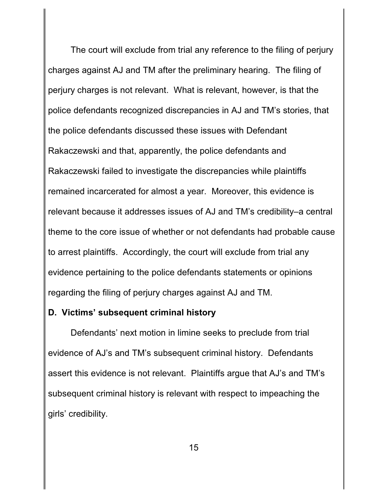The court will exclude from trial any reference to the filing of perjury charges against AJ and TM after the preliminary hearing. The filing of perjury charges is not relevant. What is relevant, however, is that the police defendants recognized discrepancies in AJ and TM's stories, that the police defendants discussed these issues with Defendant Rakaczewski and that, apparently, the police defendants and Rakaczewski failed to investigate the discrepancies while plaintiffs remained incarcerated for almost a year. Moreover, this evidence is relevant because it addresses issues of AJ and TM's credibility–a central theme to the core issue of whether or not defendants had probable cause to arrest plaintiffs. Accordingly, the court will exclude from trial any evidence pertaining to the police defendants statements or opinions regarding the filing of perjury charges against AJ and TM.

#### **D. Victims' subsequent criminal history**

Defendants' next motion in limine seeks to preclude from trial evidence of AJ's and TM's subsequent criminal history. Defendants assert this evidence is not relevant. Plaintiffs argue that AJ's and TM's subsequent criminal history is relevant with respect to impeaching the girls' credibility.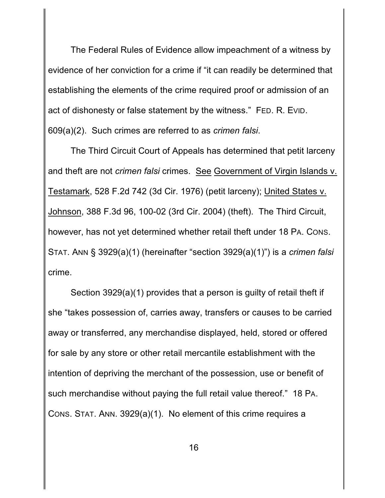The Federal Rules of Evidence allow impeachment of a witness by evidence of her conviction for a crime if "it can readily be determined that establishing the elements of the crime required proof or admission of an act of dishonesty or false statement by the witness." FED. R. EVID. 609(a)(2). Such crimes are referred to as *crimen falsi*.

The Third Circuit Court of Appeals has determined that petit larceny and theft are not *crimen falsi* crimes. See Government of Virgin Islands v. Testamark, 528 F.2d 742 (3d Cir. 1976) (petit larceny); United States v. Johnson, 388 F.3d 96, 100-02 (3rd Cir. 2004) (theft). The Third Circuit, however, has not yet determined whether retail theft under 18 PA. CONS. STAT. ANN § 3929(a)(1) (hereinafter "section 3929(a)(1)") is a *crimen falsi* crime.

Section 3929(a)(1) provides that a person is guilty of retail theft if she "takes possession of, carries away, transfers or causes to be carried away or transferred, any merchandise displayed, held, stored or offered for sale by any store or other retail mercantile establishment with the intention of depriving the merchant of the possession, use or benefit of such merchandise without paying the full retail value thereof." 18 PA. CONS. STAT. ANN. 3929(a)(1). No element of this crime requires a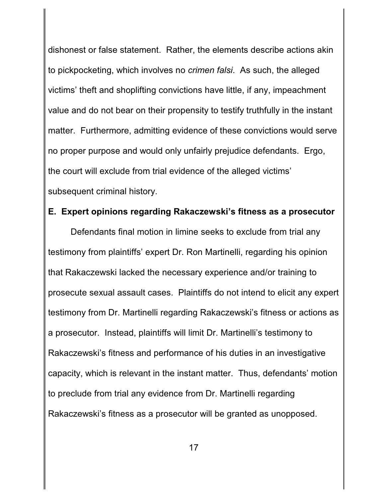dishonest or false statement. Rather, the elements describe actions akin to pickpocketing, which involves no *crimen falsi*. As such, the alleged victims' theft and shoplifting convictions have little, if any, impeachment value and do not bear on their propensity to testify truthfully in the instant matter. Furthermore, admitting evidence of these convictions would serve no proper purpose and would only unfairly prejudice defendants. Ergo, the court will exclude from trial evidence of the alleged victims' subsequent criminal history.

## **E. Expert opinions regarding Rakaczewski's fitness as a prosecutor**

Defendants final motion in limine seeks to exclude from trial any testimony from plaintiffs' expert Dr. Ron Martinelli, regarding his opinion that Rakaczewski lacked the necessary experience and/or training to prosecute sexual assault cases. Plaintiffs do not intend to elicit any expert testimony from Dr. Martinelli regarding Rakaczewski's fitness or actions as a prosecutor. Instead, plaintiffs will limit Dr. Martinelli's testimony to Rakaczewski's fitness and performance of his duties in an investigative capacity, which is relevant in the instant matter. Thus, defendants' motion to preclude from trial any evidence from Dr. Martinelli regarding Rakaczewski's fitness as a prosecutor will be granted as unopposed.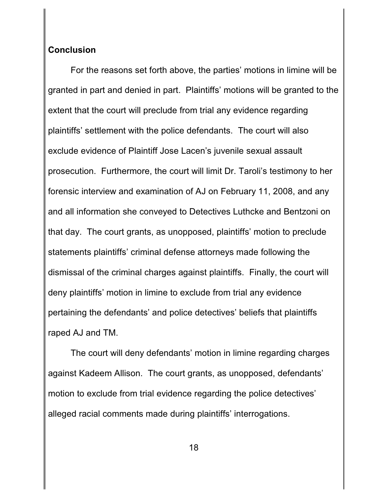### **Conclusion**

For the reasons set forth above, the parties' motions in limine will be granted in part and denied in part. Plaintiffs' motions will be granted to the extent that the court will preclude from trial any evidence regarding plaintiffs' settlement with the police defendants. The court will also exclude evidence of Plaintiff Jose Lacen's juvenile sexual assault prosecution. Furthermore, the court will limit Dr. Taroli's testimony to her forensic interview and examination of AJ on February 11, 2008, and any and all information she conveyed to Detectives Luthcke and Bentzoni on that day. The court grants, as unopposed, plaintiffs' motion to preclude statements plaintiffs' criminal defense attorneys made following the dismissal of the criminal charges against plaintiffs. Finally, the court will deny plaintiffs' motion in limine to exclude from trial any evidence pertaining the defendants' and police detectives' beliefs that plaintiffs raped AJ and TM.

The court will deny defendants' motion in limine regarding charges against Kadeem Allison. The court grants, as unopposed, defendants' motion to exclude from trial evidence regarding the police detectives' alleged racial comments made during plaintiffs' interrogations.